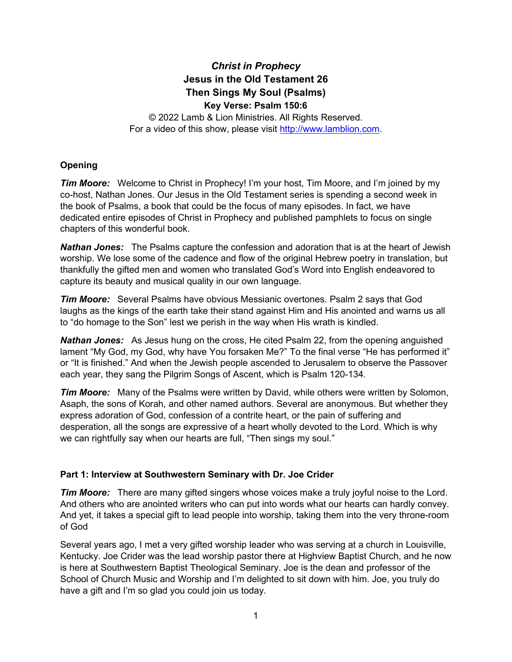# *Christ in Prophecy* **Jesus in the Old Testament 26 Then Sings My Soul (Psalms) Key Verse: Psalm 150:6**

© 2022 Lamb & Lion Ministries. All Rights Reserved. For a video of this show, please visit [http://www.lamblion.com.](http://www.lamblion.com/)

## **Opening**

**Tim Moore:** Welcome to Christ in Prophecy! I'm your host, Tim Moore, and I'm joined by my co-host, Nathan Jones. Our Jesus in the Old Testament series is spending a second week in the book of Psalms, a book that could be the focus of many episodes. In fact, we have dedicated entire episodes of Christ in Prophecy and published pamphlets to focus on single chapters of this wonderful book.

*Nathan Jones:* The Psalms capture the confession and adoration that is at the heart of Jewish worship. We lose some of the cadence and flow of the original Hebrew poetry in translation, but thankfully the gifted men and women who translated God's Word into English endeavored to capture its beauty and musical quality in our own language.

*Tim Moore:* Several Psalms have obvious Messianic overtones. Psalm 2 says that God laughs as the kings of the earth take their stand against Him and His anointed and warns us all to "do homage to the Son" lest we perish in the way when His wrath is kindled.

*Nathan Jones:* As Jesus hung on the cross, He cited Psalm 22, from the opening anguished lament "My God, my God, why have You forsaken Me?" To the final verse "He has performed it" or "It is finished." And when the Jewish people ascended to Jerusalem to observe the Passover each year, they sang the Pilgrim Songs of Ascent, which is Psalm 120-134.

*Tim Moore:* Many of the Psalms were written by David, while others were written by Solomon, Asaph, the sons of Korah, and other named authors. Several are anonymous. But whether they express adoration of God, confession of a contrite heart, or the pain of suffering and desperation, all the songs are expressive of a heart wholly devoted to the Lord. Which is why we can rightfully say when our hearts are full, "Then sings my soul."

## **Part 1: Interview at Southwestern Seminary with Dr. Joe Crider**

*Tim Moore:* There are many gifted singers whose voices make a truly joyful noise to the Lord. And others who are anointed writers who can put into words what our hearts can hardly convey. And yet, it takes a special gift to lead people into worship, taking them into the very throne-room of God

Several years ago, I met a very gifted worship leader who was serving at a church in Louisville, Kentucky. Joe Crider was the lead worship pastor there at Highview Baptist Church, and he now is here at Southwestern Baptist Theological Seminary. Joe is the dean and professor of the School of Church Music and Worship and I'm delighted to sit down with him. Joe, you truly do have a gift and I'm so glad you could join us today.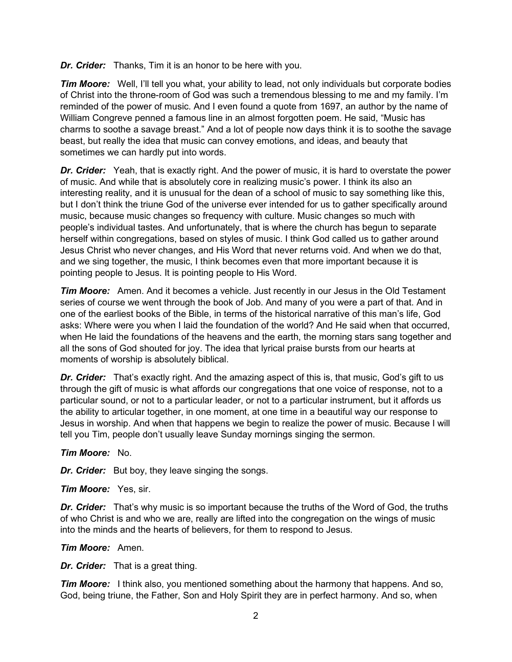*Dr. Crider:* Thanks, Tim it is an honor to be here with you.

*Tim Moore:* Well, I'll tell you what, your ability to lead, not only individuals but corporate bodies of Christ into the throne-room of God was such a tremendous blessing to me and my family. I'm reminded of the power of music. And I even found a quote from 1697, an author by the name of William Congreve penned a famous line in an almost forgotten poem. He said, "Music has charms to soothe a savage breast." And a lot of people now days think it is to soothe the savage beast, but really the idea that music can convey emotions, and ideas, and beauty that sometimes we can hardly put into words.

*Dr. Crider:* Yeah, that is exactly right. And the power of music, it is hard to overstate the power of music. And while that is absolutely core in realizing music's power. I think its also an interesting reality, and it is unusual for the dean of a school of music to say something like this, but I don't think the triune God of the universe ever intended for us to gather specifically around music, because music changes so frequency with culture. Music changes so much with people's individual tastes. And unfortunately, that is where the church has begun to separate herself within congregations, based on styles of music. I think God called us to gather around Jesus Christ who never changes, and His Word that never returns void. And when we do that, and we sing together, the music, I think becomes even that more important because it is pointing people to Jesus. It is pointing people to His Word.

*Tim Moore:* Amen. And it becomes a vehicle. Just recently in our Jesus in the Old Testament series of course we went through the book of Job. And many of you were a part of that. And in one of the earliest books of the Bible, in terms of the historical narrative of this man's life, God asks: Where were you when I laid the foundation of the world? And He said when that occurred, when He laid the foundations of the heavens and the earth, the morning stars sang together and all the sons of God shouted for joy. The idea that lyrical praise bursts from our hearts at moments of worship is absolutely biblical.

*Dr. Crider:* That's exactly right. And the amazing aspect of this is, that music, God's gift to us through the gift of music is what affords our congregations that one voice of response, not to a particular sound, or not to a particular leader, or not to a particular instrument, but it affords us the ability to articular together, in one moment, at one time in a beautiful way our response to Jesus in worship. And when that happens we begin to realize the power of music. Because I will tell you Tim, people don't usually leave Sunday mornings singing the sermon.

### *Tim Moore:* No.

*Dr. Crider:* But boy, they leave singing the songs.

*Tim Moore:* Yes, sir.

*Dr. Crider:* That's why music is so important because the truths of the Word of God, the truths of who Christ is and who we are, really are lifted into the congregation on the wings of music into the minds and the hearts of believers, for them to respond to Jesus.

#### *Tim Moore:* Amen.

*Dr. Crider:* That is a great thing.

*Tim Moore:* I think also, you mentioned something about the harmony that happens. And so, God, being triune, the Father, Son and Holy Spirit they are in perfect harmony. And so, when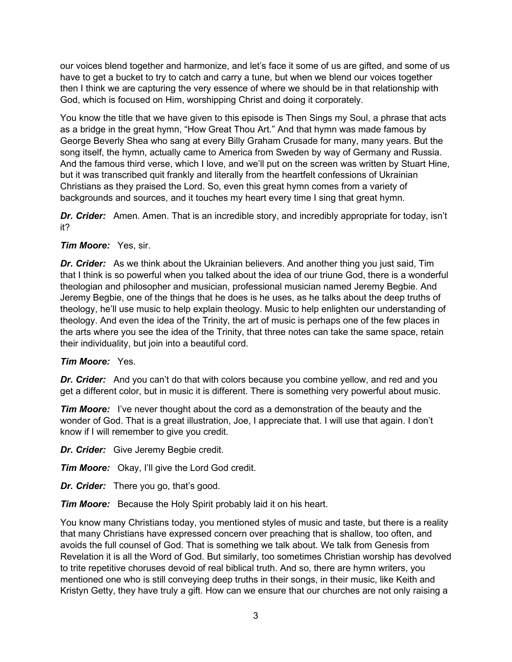our voices blend together and harmonize, and let's face it some of us are gifted, and some of us have to get a bucket to try to catch and carry a tune, but when we blend our voices together then I think we are capturing the very essence of where we should be in that relationship with God, which is focused on Him, worshipping Christ and doing it corporately.

You know the title that we have given to this episode is Then Sings my Soul, a phrase that acts as a bridge in the great hymn, "How Great Thou Art." And that hymn was made famous by George Beverly Shea who sang at every Billy Graham Crusade for many, many years. But the song itself, the hymn, actually came to America from Sweden by way of Germany and Russia. And the famous third verse, which I love, and we'll put on the screen was written by Stuart Hine, but it was transcribed quit frankly and literally from the heartfelt confessions of Ukrainian Christians as they praised the Lord. So, even this great hymn comes from a variety of backgrounds and sources, and it touches my heart every time I sing that great hymn.

*Dr. Crider:* Amen. Amen. That is an incredible story, and incredibly appropriate for today, isn't it?

### *Tim Moore:* Yes, sir.

*Dr. Crider:* As we think about the Ukrainian believers. And another thing you just said, Tim that I think is so powerful when you talked about the idea of our triune God, there is a wonderful theologian and philosopher and musician, professional musician named Jeremy Begbie. And Jeremy Begbie, one of the things that he does is he uses, as he talks about the deep truths of theology, he'll use music to help explain theology. Music to help enlighten our understanding of theology. And even the idea of the Trinity, the art of music is perhaps one of the few places in the arts where you see the idea of the Trinity, that three notes can take the same space, retain their individuality, but join into a beautiful cord.

### *Tim Moore:* Yes.

*Dr. Crider:* And you can't do that with colors because you combine yellow, and red and you get a different color, but in music it is different. There is something very powerful about music.

*Tim Moore:* I've never thought about the cord as a demonstration of the beauty and the wonder of God. That is a great illustration, Joe, I appreciate that. I will use that again. I don't know if I will remember to give you credit.

*Dr. Crider:* Give Jeremy Begbie credit.

**Tim Moore:** Okay, I'll give the Lord God credit.

*Dr. Crider:* There you go, that's good.

*Tim Moore:* Because the Holy Spirit probably laid it on his heart.

You know many Christians today, you mentioned styles of music and taste, but there is a reality that many Christians have expressed concern over preaching that is shallow, too often, and avoids the full counsel of God. That is something we talk about. We talk from Genesis from Revelation it is all the Word of God. But similarly, too sometimes Christian worship has devolved to trite repetitive choruses devoid of real biblical truth. And so, there are hymn writers, you mentioned one who is still conveying deep truths in their songs, in their music, like Keith and Kristyn Getty, they have truly a gift. How can we ensure that our churches are not only raising a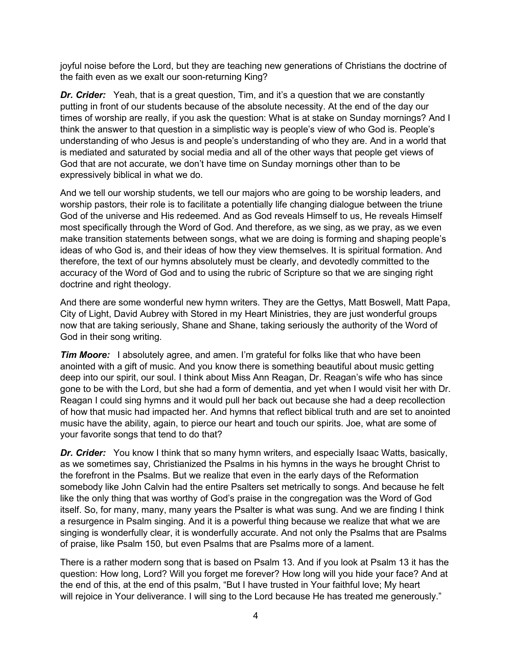joyful noise before the Lord, but they are teaching new generations of Christians the doctrine of the faith even as we exalt our soon-returning King?

*Dr. Crider:* Yeah, that is a great question, Tim, and it's a question that we are constantly putting in front of our students because of the absolute necessity. At the end of the day our times of worship are really, if you ask the question: What is at stake on Sunday mornings? And I think the answer to that question in a simplistic way is people's view of who God is. People's understanding of who Jesus is and people's understanding of who they are. And in a world that is mediated and saturated by social media and all of the other ways that people get views of God that are not accurate, we don't have time on Sunday mornings other than to be expressively biblical in what we do.

And we tell our worship students, we tell our majors who are going to be worship leaders, and worship pastors, their role is to facilitate a potentially life changing dialogue between the triune God of the universe and His redeemed. And as God reveals Himself to us, He reveals Himself most specifically through the Word of God. And therefore, as we sing, as we pray, as we even make transition statements between songs, what we are doing is forming and shaping people's ideas of who God is, and their ideas of how they view themselves. It is spiritual formation. And therefore, the text of our hymns absolutely must be clearly, and devotedly committed to the accuracy of the Word of God and to using the rubric of Scripture so that we are singing right doctrine and right theology.

And there are some wonderful new hymn writers. They are the Gettys, Matt Boswell, Matt Papa, City of Light, David Aubrey with Stored in my Heart Ministries, they are just wonderful groups now that are taking seriously, Shane and Shane, taking seriously the authority of the Word of God in their song writing.

*Tim Moore:* I absolutely agree, and amen. I'm grateful for folks like that who have been anointed with a gift of music. And you know there is something beautiful about music getting deep into our spirit, our soul. I think about Miss Ann Reagan, Dr. Reagan's wife who has since gone to be with the Lord, but she had a form of dementia, and yet when I would visit her with Dr. Reagan I could sing hymns and it would pull her back out because she had a deep recollection of how that music had impacted her. And hymns that reflect biblical truth and are set to anointed music have the ability, again, to pierce our heart and touch our spirits. Joe, what are some of your favorite songs that tend to do that?

*Dr. Crider:* You know I think that so many hymn writers, and especially Isaac Watts, basically, as we sometimes say, Christianized the Psalms in his hymns in the ways he brought Christ to the forefront in the Psalms. But we realize that even in the early days of the Reformation somebody like John Calvin had the entire Psalters set metrically to songs. And because he felt like the only thing that was worthy of God's praise in the congregation was the Word of God itself. So, for many, many, many years the Psalter is what was sung. And we are finding I think a resurgence in Psalm singing. And it is a powerful thing because we realize that what we are singing is wonderfully clear, it is wonderfully accurate. And not only the Psalms that are Psalms of praise, like Psalm 150, but even Psalms that are Psalms more of a lament.

There is a rather modern song that is based on Psalm 13. And if you look at Psalm 13 it has the question: How long, Lord? Will you forget me forever? How long will you hide your face? And at the end of this, at the end of this psalm, "But I have trusted in Your faithful love; My heart will rejoice in Your deliverance. I will sing to the Lord because He has treated me generously."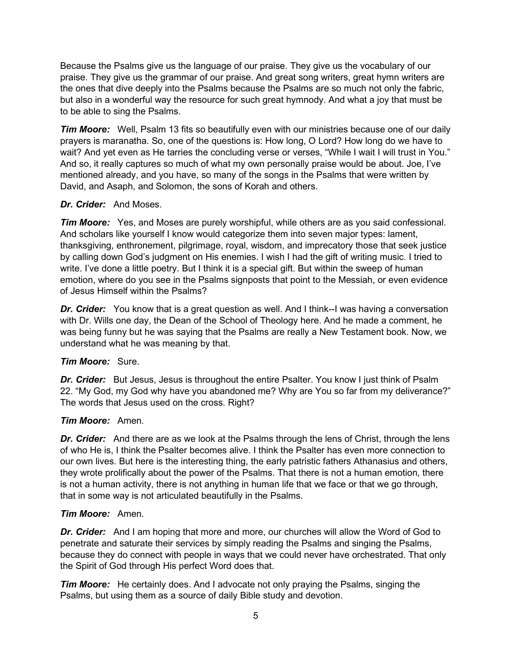Because the Psalms give us the language of our praise. They give us the vocabulary of our praise. They give us the grammar of our praise. And great song writers, great hymn writers are the ones that dive deeply into the Psalms because the Psalms are so much not only the fabric, but also in a wonderful way the resource for such great hymnody. And what a joy that must be to be able to sing the Psalms.

*Tim Moore:* Well, Psalm 13 fits so beautifully even with our ministries because one of our daily prayers is maranatha. So, one of the questions is: How long, O Lord? How long do we have to wait? And yet even as He tarries the concluding verse or verses, "While I wait I will trust in You." And so, it really captures so much of what my own personally praise would be about. Joe, I've mentioned already, and you have, so many of the songs in the Psalms that were written by David, and Asaph, and Solomon, the sons of Korah and others.

### *Dr. Crider:* And Moses.

*Tim Moore:* Yes, and Moses are purely worshipful, while others are as you said confessional. And scholars like yourself I know would categorize them into seven major types: lament, thanksgiving, enthronement, pilgrimage, royal, wisdom, and imprecatory those that seek justice by calling down God's judgment on His enemies. I wish I had the gift of writing music. I tried to write. I've done a little poetry. But I think it is a special gift. But within the sweep of human emotion, where do you see in the Psalms signposts that point to the Messiah, or even evidence of Jesus Himself within the Psalms?

*Dr. Crider:* You know that is a great question as well. And I think--I was having a conversation with Dr. Wills one day, the Dean of the School of Theology here. And he made a comment, he was being funny but he was saying that the Psalms are really a New Testament book. Now, we understand what he was meaning by that.

## *Tim Moore:* Sure.

*Dr. Crider:* But Jesus, Jesus is throughout the entire Psalter. You know I just think of Psalm 22. "My God, my God why have you abandoned me? Why are You so far from my deliverance?" The words that Jesus used on the cross. Right?

### *Tim Moore:* Amen.

*Dr. Crider:* And there are as we look at the Psalms through the lens of Christ, through the lens of who He is, I think the Psalter becomes alive. I think the Psalter has even more connection to our own lives. But here is the interesting thing, the early patristic fathers Athanasius and others, they wrote prolifically about the power of the Psalms. That there is not a human emotion, there is not a human activity, there is not anything in human life that we face or that we go through, that in some way is not articulated beautifully in the Psalms.

### *Tim Moore:* Amen.

*Dr. Crider:* And I am hoping that more and more, our churches will allow the Word of God to penetrate and saturate their services by simply reading the Psalms and singing the Psalms, because they do connect with people in ways that we could never have orchestrated. That only the Spirit of God through His perfect Word does that.

*Tim Moore:* He certainly does. And I advocate not only praying the Psalms, singing the Psalms, but using them as a source of daily Bible study and devotion.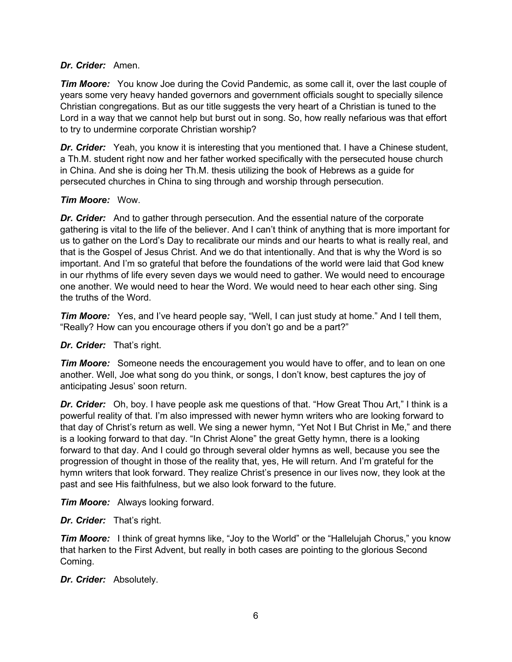#### *Dr. Crider:* Amen.

*Tim Moore:* You know Joe during the Covid Pandemic, as some call it, over the last couple of years some very heavy handed governors and government officials sought to specially silence Christian congregations. But as our title suggests the very heart of a Christian is tuned to the Lord in a way that we cannot help but burst out in song. So, how really nefarious was that effort to try to undermine corporate Christian worship?

**Dr. Crider:** Yeah, you know it is interesting that you mentioned that. I have a Chinese student, a Th.M. student right now and her father worked specifically with the persecuted house church in China. And she is doing her Th.M. thesis utilizing the book of Hebrews as a guide for persecuted churches in China to sing through and worship through persecution.

### *Tim Moore:* Wow.

*Dr. Crider:* And to gather through persecution. And the essential nature of the corporate gathering is vital to the life of the believer. And I can't think of anything that is more important for us to gather on the Lord's Day to recalibrate our minds and our hearts to what is really real, and that is the Gospel of Jesus Christ. And we do that intentionally. And that is why the Word is so important. And I'm so grateful that before the foundations of the world were laid that God knew in our rhythms of life every seven days we would need to gather. We would need to encourage one another. We would need to hear the Word. We would need to hear each other sing. Sing the truths of the Word.

*Tim Moore:* Yes, and I've heard people say, "Well, I can just study at home." And I tell them, "Really? How can you encourage others if you don't go and be a part?"

### *Dr. Crider:* That's right.

*Tim Moore:* Someone needs the encouragement you would have to offer, and to lean on one another. Well, Joe what song do you think, or songs, I don't know, best captures the joy of anticipating Jesus' soon return.

**Dr. Crider:** Oh, boy. I have people ask me questions of that. "How Great Thou Art," I think is a powerful reality of that. I'm also impressed with newer hymn writers who are looking forward to that day of Christ's return as well. We sing a newer hymn, "Yet Not I But Christ in Me," and there is a looking forward to that day. "In Christ Alone" the great Getty hymn, there is a looking forward to that day. And I could go through several older hymns as well, because you see the progression of thought in those of the reality that, yes, He will return. And I'm grateful for the hymn writers that look forward. They realize Christ's presence in our lives now, they look at the past and see His faithfulness, but we also look forward to the future.

*Tim Moore:* Always looking forward.

#### *Dr. Crider:* That's right.

*Tim Moore:* I think of great hymns like, "Joy to the World" or the "Hallelujah Chorus," you know that harken to the First Advent, but really in both cases are pointing to the glorious Second Coming.

*Dr. Crider:* Absolutely.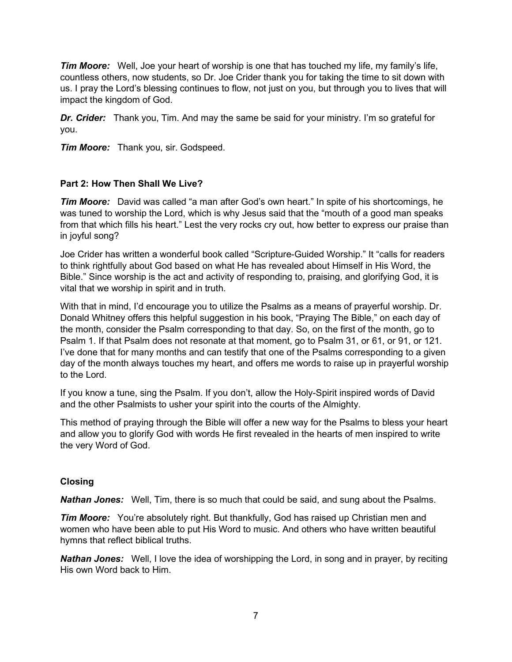*Tim Moore:* Well, Joe your heart of worship is one that has touched my life, my family's life, countless others, now students, so Dr. Joe Crider thank you for taking the time to sit down with us. I pray the Lord's blessing continues to flow, not just on you, but through you to lives that will impact the kingdom of God.

**Dr. Crider:** Thank you, Tim. And may the same be said for your ministry. I'm so grateful for you.

*Tim Moore:* Thank you, sir. Godspeed.

### **Part 2: How Then Shall We Live?**

*Tim Moore:* David was called "a man after God's own heart." In spite of his shortcomings, he was tuned to worship the Lord, which is why Jesus said that the "mouth of a good man speaks from that which fills his heart." Lest the very rocks cry out, how better to express our praise than in joyful song?

Joe Crider has written a wonderful book called "Scripture-Guided Worship." It "calls for readers to think rightfully about God based on what He has revealed about Himself in His Word, the Bible." Since worship is the act and activity of responding to, praising, and glorifying God, it is vital that we worship in spirit and in truth.

With that in mind, I'd encourage you to utilize the Psalms as a means of prayerful worship. Dr. Donald Whitney offers this helpful suggestion in his book, "Praying The Bible," on each day of the month, consider the Psalm corresponding to that day. So, on the first of the month, go to Psalm 1. If that Psalm does not resonate at that moment, go to Psalm 31, or 61, or 91, or 121. I've done that for many months and can testify that one of the Psalms corresponding to a given day of the month always touches my heart, and offers me words to raise up in prayerful worship to the Lord.

If you know a tune, sing the Psalm. If you don't, allow the Holy-Spirit inspired words of David and the other Psalmists to usher your spirit into the courts of the Almighty.

This method of praying through the Bible will offer a new way for the Psalms to bless your heart and allow you to glorify God with words He first revealed in the hearts of men inspired to write the very Word of God.

### **Closing**

*Nathan Jones:* Well, Tim, there is so much that could be said, and sung about the Psalms.

*Tim Moore:* You're absolutely right. But thankfully, God has raised up Christian men and women who have been able to put His Word to music. And others who have written beautiful hymns that reflect biblical truths.

*Nathan Jones:* Well, I love the idea of worshipping the Lord, in song and in prayer, by reciting His own Word back to Him.